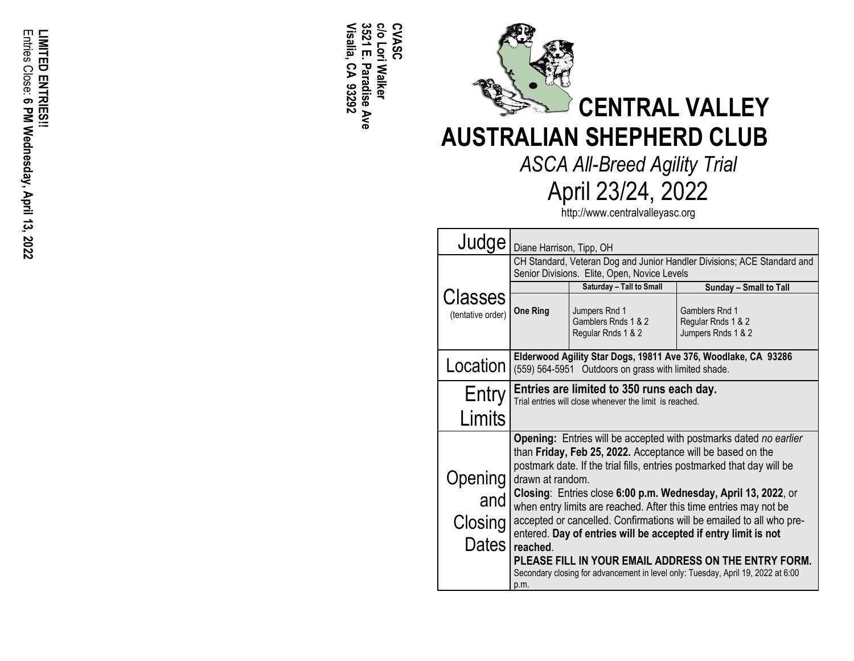**CVASC** c/o Lori Walker<br>3521 E. Paradise Ave Visalia, CA 93292 **Visalia, CA 93292 3521 E. Paradise Ave Lori Walker**



*ASCA All -Breed Agility Trial* April 2 3/2 4, 202 2

http://www.centralvalleyasc.org

| Judge                               | Diane Harrison, Tipp, OH                                                                                                                         |                                                            |                                                                          |  |  |  |  |  |
|-------------------------------------|--------------------------------------------------------------------------------------------------------------------------------------------------|------------------------------------------------------------|--------------------------------------------------------------------------|--|--|--|--|--|
|                                     | CH Standard, Veteran Dog and Junior Handler Divisions; ACE Standard and<br>Senior Divisions. Elite, Open, Novice Levels                          |                                                            |                                                                          |  |  |  |  |  |
|                                     |                                                                                                                                                  | Saturday - Tall to Small                                   | Sunday - Small to Tall                                                   |  |  |  |  |  |
| <b>Classes</b><br>(tentative order) | <b>One Ring</b>                                                                                                                                  | Jumpers Rnd 1<br>Gamblers Rnds 1 & 2<br>Regular Rnds 1 & 2 | Gamblers Rnd 1<br>Regular Rnds 1 & 2<br>Jumpers Rnds 1 & 2               |  |  |  |  |  |
|                                     | Elderwood Agility Star Dogs, 19811 Ave 376, Woodlake, CA 93286<br>Location (559) 564-5951 Outdoors on grass with limited shade.                  |                                                            |                                                                          |  |  |  |  |  |
| Entry                               | Entries are limited to 350 runs each day.<br>Trial entries will close whenever the limit is reached.                                             |                                                            |                                                                          |  |  |  |  |  |
| Limits                              |                                                                                                                                                  |                                                            |                                                                          |  |  |  |  |  |
|                                     |                                                                                                                                                  |                                                            | <b>Opening:</b> Entries will be accepted with postmarks dated no earlier |  |  |  |  |  |
|                                     |                                                                                                                                                  | than Friday, Feb 25, 2022. Acceptance will be based on the |                                                                          |  |  |  |  |  |
| Opening                             | postmark date. If the trial fills, entries postmarked that day will be<br>drawn at random.                                                       |                                                            |                                                                          |  |  |  |  |  |
| and                                 | Closing: Entries close 6:00 p.m. Wednesday, April 13, 2022, or                                                                                   |                                                            |                                                                          |  |  |  |  |  |
|                                     | when entry limits are reached. After this time entries may not be                                                                                |                                                            |                                                                          |  |  |  |  |  |
| Closing                             | accepted or cancelled. Confirmations will be emailed to all who pre-                                                                             |                                                            |                                                                          |  |  |  |  |  |
| Dates reached.                      | entered. Day of entries will be accepted if entry limit is not                                                                                   |                                                            |                                                                          |  |  |  |  |  |
|                                     | PLEASE FILL IN YOUR EMAIL ADDRESS ON THE ENTRY FORM.<br>Secondary closing for advancement in level only: Tuesday, April 19, 2022 at 6:00<br>p.m. |                                                            |                                                                          |  |  |  |  |  |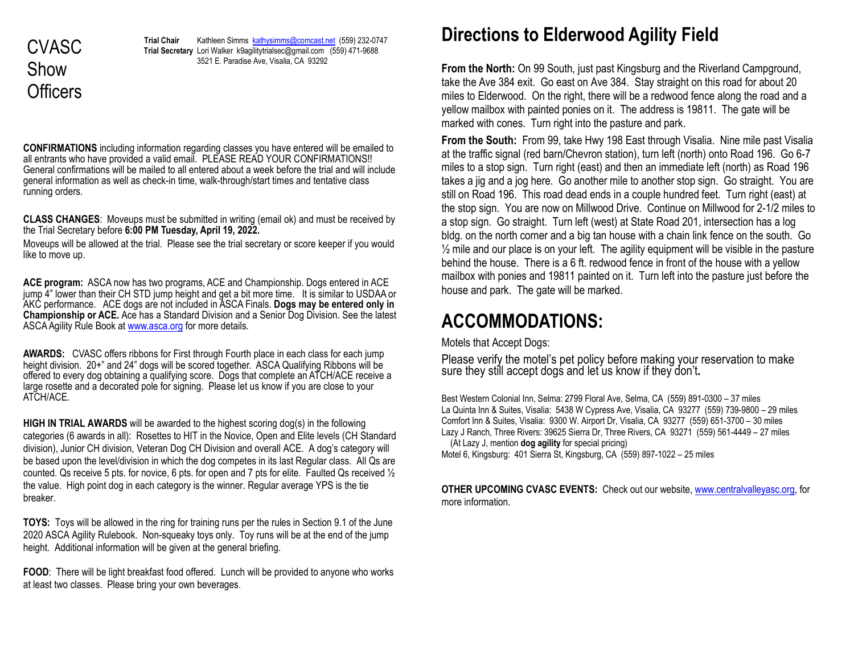CVASC Show **Officers** 

**Trial Chair** Kathleen Simms [kathysimms@comcast.net](mailto:kathysimms@comcast.net) (559) 232-0747 **Trial Secretary** Lori Walker k9agilitytrialsec@gmail.com (559) 471-9688 3521 E. Paradise Ave, Visalia, CA 93292

**CONFIRMATIONS** including information regarding classes you have entered will be emailed to General confirmations will be mailed to all entered about a week before the trial and will include general information as well as check-in time, walk-through/start times and tentative class running orders.

**CLASS CHANGES**: Moveups must be submitted in writing (email ok) and must be received by the Trial Secretary before **6:00 PM Tuesday, April 19, 2022.**

Moveups will be allowed at the trial. Please see the trial secretary or score keeper if you would like to move up.

**ACE program:** ASCA now has two programs, ACE and Championship. Dogs entered in ACE jump 4" lower than their CH STD jump height and get a bit more time. It is similar to USDAA or AKC performance. ACE dogs are not included in ASCA Finals. **Dogs may be entered only in Championship or ACE.** Ace has a Standard Division and a Senior Dog Division. See the latest ASCA Agility Rule Book at [www.asca.org](http://www.asca.org/) for more details.

**AWARDS:** CVASC offers ribbons for First through Fourth place in each class for each jump height division. 20+" and 24" dogs will be scored together. ASCA Qualifying Ribbons will be offered to every dog obtaining a qualifying score. Dogs that complete an ATCH/ACE receive a large rosette and a decorated pole for signing. Please let us know if you are close to your ATCH/ACE.

**HIGH IN TRIAL AWARDS** will be awarded to the highest scoring dog(s) in the following categories (6 awards in all): Rosettes to HIT in the Novice, Open and Elite levels (CH Standard division), Junior CH division, Veteran Dog CH Division and overall ACE. A dog's category will be based upon the level/division in which the dog competes in its last Regular class. All Qs are counted. Qs receive 5 pts. for novice, 6 pts. for open and 7 pts for elite. Faulted Qs received 1/2 the value. High point dog in each category is the winner. Regular average YPS is the tie breaker.

**TOYS:** Toys will be allowed in the ring for training runs per the rules in Section 9.1 of the June 2020 ASCA Agility Rulebook. Non-squeaky toys only. Toy runs will be at the end of the jump height. Additional information will be given at the general briefing.

**FOOD**: There will be light breakfast food offered. Lunch will be provided to anyone who works at least two classes. Please bring your own beverages.

### **Directions to Elderwood Agility Field**

**From the North:** On 99 South, just past Kingsburg and the Riverland Campground, take the Ave 384 exit. Go east on Ave 384. Stay straight on this road for about 20 miles to Elderwood. On the right, there will be a redwood fence along the road and a yellow mailbox with painted ponies on it. The address is 19811. The gate will be marked with cones. Turn right into the pasture and park.

**From the South:** From 99, take Hwy 198 East through Visalia. Nine mile past Visalia at the traffic signal (red barn/Chevron station), turn left (north) onto Road 196. Go 6-7 miles to a stop sign. Turn right (east) and then an immediate left (north) as Road 196 takes a jig and a jog here. Go another mile to another stop sign. Go straight. You are still on Road 196. This road dead ends in a couple hundred feet. Turn right (east) at the stop sign. You are now on Millwood Drive. Continue on Millwood for 2-1/2 miles to a stop sign. Go straight. Turn left (west) at State Road 201, intersection has a log bldg. on the north corner and a big tan house with a chain link fence on the south. Go  $\frac{1}{2}$  mile and our place is on your left. The agility equipment will be visible in the pasture behind the house. There is a 6 ft. redwood fence in front of the house with a yellow mailbox with ponies and 19811 painted on it. Turn left into the pasture just before the house and park. The gate will be marked.

# **ACCOMMODATIONS:**

Motels that Accept Dogs:

Please verify the motel's pet policy before making your reservation to make sure they still accept dogs and let us know if they don't**.**

Best Western Colonial Inn, Selma: 2799 Floral Ave, Selma, CA (559) 891-0300 – 37 miles La Quinta Inn & Suites, Visalia: 5438 W Cypress Ave, Visalia, CA 93277 (559) 739-9800 – 29 miles Comfort Inn & Suites, Visalia: 9300 W. Airport Dr, Visalia, CA 93277 (559) 651-3700 – 30 miles Lazy J Ranch, Three Rivers: 39625 Sierra Dr, Three Rivers, CA 93271 (559) 561-4449 – 27 miles (At Lazy J, mention **dog agility** for special pricing)

Motel 6, Kingsburg: 401 Sierra St, Kingsburg, CA (559) 897-1022 – 25 miles

**OTHER UPCOMING CVASC EVENTS:** Check out our website[, www.centralvalleyasc.org,](http://www.centralvalleyasc.org/) for more information.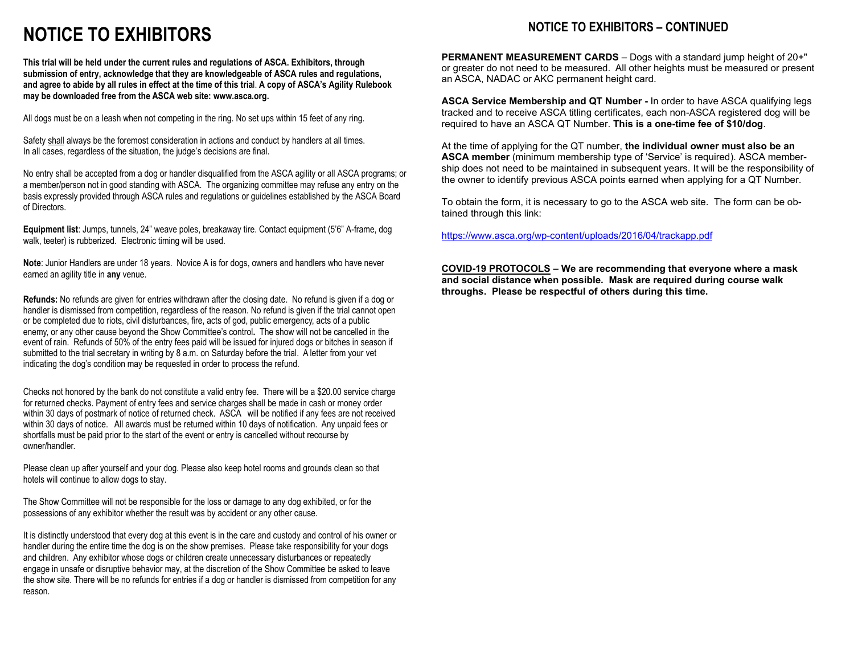# **NOTICE TO EXHIBITORS**

**This trial will be held under the current rules and regulations of ASCA. Exhibitors, through submission of entry, acknowledge that they are knowledgeable of ASCA rules and regulations, and agree to abide by all rules in effect at the time of this tria**l. **A copy of ASCA's Agility Rulebook may be downloaded free from the ASCA web site: www.asca.org.**

All dogs must be on a leash when not competing in the ring. No set ups within 15 feet of any ring.

Safety shall always be the foremost consideration in actions and conduct by handlers at all times. In all cases, regardless of the situation, the judge's decisions are final.

No entry shall be accepted from a dog or handler disqualified from the ASCA agility or all ASCA programs; or a member/person not in good standing with ASCA. The organizing committee may refuse any entry on the basis expressly provided through ASCA rules and regulations or guidelines established by the ASCA Board of Directors.

**Equipment list**: Jumps, tunnels, 24" weave poles, breakaway tire. Contact equipment (5'6" A-frame, dog walk, teeter) is rubberized. Electronic timing will be used.

**Note**: Junior Handlers are under 18 years. Novice A is for dogs, owners and handlers who have never earned an agility title in **any** venue.

**Refunds:** No refunds are given for entries withdrawn after the closing date. No refund is given if a dog or handler is dismissed from competition, regardless of the reason. No refund is given if the trial cannot open or be completed due to riots, civil disturbances, fire, acts of god, public emergency, acts of a public enemy, or any other cause beyond the Show Committee's control**.** The show will not be cancelled in the event of rain. Refunds of 50% of the entry fees paid will be issued for injured dogs or bitches in season if submitted to the trial secretary in writing by 8 a.m. on Saturday before the trial. A letter from your vet indicating the dog's condition may be requested in order to process the refund.

Checks not honored by the bank do not constitute a valid entry fee. There will be a \$20.00 service charge for returned checks. Payment of entry fees and service charges shall be made in cash or money order within 30 days of postmark of notice of returned check. ASCA will be notified if any fees are not received within 30 days of notice. All awards must be returned within 10 days of notification. Any unpaid fees or shortfalls must be paid prior to the start of the event or entry is cancelled without recourse by owner/handler.

Please clean up after yourself and your dog. Please also keep hotel rooms and grounds clean so that hotels will continue to allow dogs to stay.

The Show Committee will not be responsible for the loss or damage to any dog exhibited, or for the possessions of any exhibitor whether the result was by accident or any other cause.

It is distinctly understood that every dog at this event is in the care and custody and control of his owner or handler during the entire time the dog is on the show premises. Please take responsibility for your dogs and children. Any exhibitor whose dogs or children create unnecessary disturbances or repeatedly engage in unsafe or disruptive behavior may, at the discretion of the Show Committee be asked to leave the show site. There will be no refunds for entries if a dog or handler is dismissed from competition for any reason.

**PERMANENT MEASUREMENT CARDS** – Dogs with a standard jump height of 20+" or greater do not need to be measured. All other heights must be measured or present an ASCA, NADAC or AKC permanent height card.

**ASCA Service Membership and QT Number -** In order to have ASCA qualifying legs tracked and to receive ASCA titling certificates, each non-ASCA registered dog will be required to have an ASCA QT Number. **This is a one-time fee of \$10/dog**.

At the time of applying for the QT number, **the individual owner must also be an ASCA member** (minimum membership type of 'Service' is required). ASCA membership does not need to be maintained in subsequent years. It will be the responsibility of the owner to identify previous ASCA points earned when applying for a QT Number.

To obtain the form, it is necessary to go to the ASCA web site. The form can be obtained through this link:

<https://www.asca.org/wp-content/uploads/2016/04/trackapp.pdf>

**COVID-19 PROTOCOLS – We are recommending that everyone where a mask and social distance when possible. Mask are required during course walk throughs. Please be respectful of others during this time.**

#### **NOTICE TO EXHIBITORS – CONTINUED**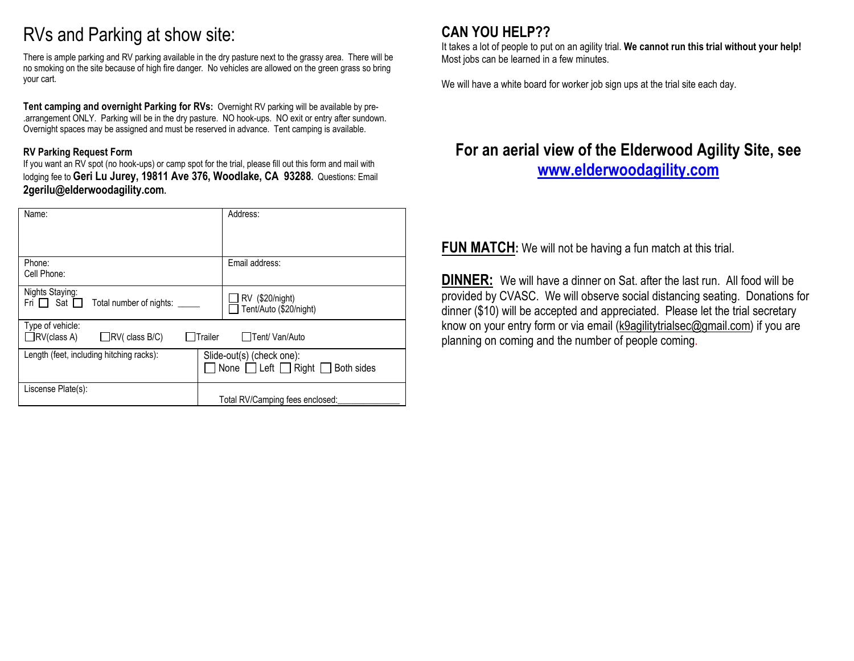#### RVs and Parking at show site:

There is ample parking and RV parking available in the dry pasture next to the grassy area. There will be no smoking on the site because of high fire danger. No vehicles are allowed on the green grass so bring your cart.

**Tent camping and overnight Parking for RVs: Overnight RV parking will be available by pre-**.arrangement ONLY. Parking will be in the dry pasture. NO hook-ups. NO exit or entry after sundown. Overnight spaces may be assigned and must be reserved in advance. Tent camping is available.

#### **RV Parking Request Form**

If you want an RV spot (no hook-ups) or camp spot for the trial, please fill out this form and mail with lodging fee to **Geri Lu Jurey, 19811 Ave 376, Woodlake, CA 93288.** Questions: Email **2gerilu@elderwoodagility.com.**

| Name:                                                             | Address:                                                                        |
|-------------------------------------------------------------------|---------------------------------------------------------------------------------|
|                                                                   |                                                                                 |
| Phone:<br>Cell Phone:                                             | Email address:                                                                  |
| Nights Staying:<br>Sat $\Gamma$<br>Total number of nights:<br>Fri | RV (\$20/night)<br>Tent/Auto (\$20/night)                                       |
| Type of vehicle:<br>$\Box$ RV(class A)<br>$\Box$ RV( class B/C)   | □Tent/Van/Auto<br>Trailer                                                       |
| Length (feet, including hitching racks):                          | Slide-out(s) (check one):<br>None $\Box$ Left $\Box$ Right $\Box$<br>Both sides |
| Liscense Plate(s):                                                | Total RV/Camping fees enclosed:                                                 |

#### **CAN YOU HELP??**

It takes a lot of people to put on an agility trial. **We cannot run this trial without your help!**  Most jobs can be learned in a few minutes.

We will have a white board for worker job sign ups at the trial site each day.

#### **For an aerial view of the Elderwood Agility Site, see [www.elderwoodagility.com](http://www.elderwoodagility.com/)**

**FUN MATCH:** We will not be having a fun match at this trial.

**DINNER:** We will have a dinner on Sat. after the last run. All food will be provided by CVASC. We will observe social distancing seating. Donations for dinner (\$10) will be accepted and appreciated. Please let the trial secretary know on your entry form or via email [\(k9agilitytrialsec@gmail.com\)](mailto:k9agilitytrialsec@gmail.com) if you are planning on coming and the number of people coming.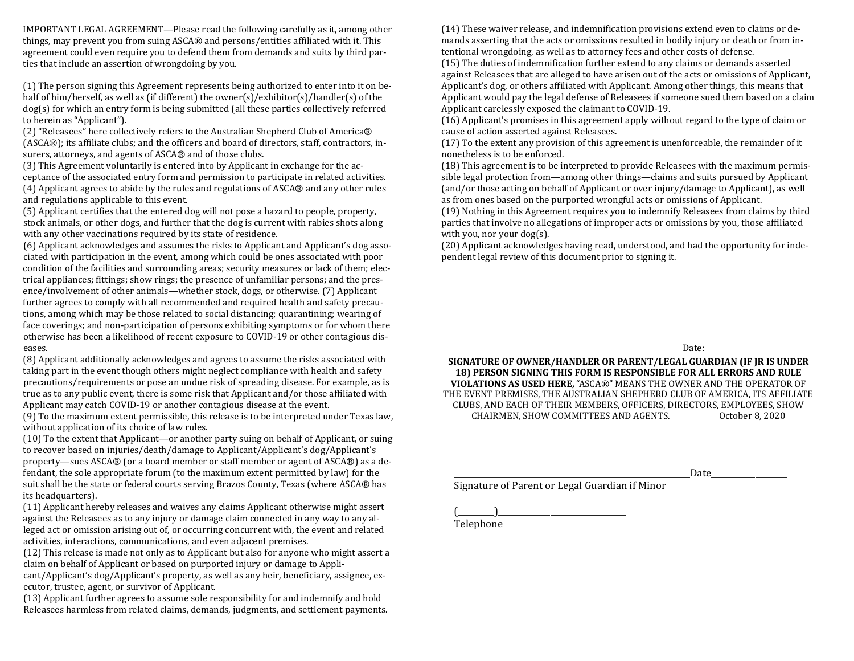IMPORTANT LEGAL AGREEMENT—Please read the following carefully as it, among other things, may prevent you from suing ASCA® and persons/entities affiliated with it. This agreement could even require you to defend them from demands and suits by third parties that include an assertion of wrongdoing by you.

(1) The person signing this Agreement represents being authorized to enter into it on behalf of him/herself, as well as (if different) the owner(s)/exhibitor(s)/handler(s) of the dog(s) for which an entry form is being submitted (all these parties collectively referred to herein as "Applicant").

(2) "Releasees" here collectively refers to the Australian Shepherd Club of America® (ASCA®); its affiliate clubs; and the officers and board of directors, staff, contractors, insurers, attorneys, and agents of ASCA® and of those clubs.

(3) This Agreement voluntarily is entered into by Applicant in exchange for the ac-

ceptance of the associated entry form and permission to participate in related activities. (4) Applicant agrees to abide by the rules and regulations of ASCA® and any other rules and regulations applicable to this event.

(5) Applicant certifies that the entered dog will not pose a hazard to people, property, stock animals, or other dogs, and further that the dog is current with rabies shots along with any other vaccinations required by its state of residence.

(6) Applicant acknowledges and assumes the risks to Applicant and Applicant's dog associated with participation in the event, among which could be ones associated with poor condition of the facilities and surrounding areas; security measures or lack of them; electrical appliances; fittings; show rings; the presence of unfamiliar persons; and the presence/involvement of other animals—whether stock, dogs, or otherwise. (7) Applicant further agrees to comply with all recommended and required health and safety precautions, among which may be those related to social distancing; quarantining; wearing of face coverings; and non-participation of persons exhibiting symptoms or for whom there otherwise has been a likelihood of recent exposure to COVID-19 or other contagious diseases.

(8) Applicant additionally acknowledges and agrees to assume the risks associated with taking part in the event though others might neglect compliance with health and safety precautions/requirements or pose an undue risk of spreading disease. For example, as is true as to any public event, there is some risk that Applicant and/or those affiliated with Applicant may catch COVID-19 or another contagious disease at the event.

(9) To the maximum extent permissible, this release is to be interpreted under Texas law, without application of its choice of law rules.

(10) To the extent that Applicant—or another party suing on behalf of Applicant, or suing to recover based on injuries/death/damage to Applicant/Applicant's dog/Applicant's property—sues ASCA® (or a board member or staff member or agent of ASCA®) as a defendant, the sole appropriate forum (to the maximum extent permitted by law) for the suit shall be the state or federal courts serving Brazos County, Texas (where ASCA® has its headquarters).

(11) Applicant hereby releases and waives any claims Applicant otherwise might assert against the Releasees as to any injury or damage claim connected in any way to any alleged act or omission arising out of, or occurring concurrent with, the event and related activities, interactions, communications, and even adjacent premises.

(12) This release is made not only as to Applicant but also for anyone who might assert a claim on behalf of Applicant or based on purported injury or damage to Appli-

cant/Applicant's dog/Applicant's property, as well as any heir, beneficiary, assignee, executor, trustee, agent, or survivor of Applicant.

(13) Applicant further agrees to assume sole responsibility for and indemnify and hold Releasees harmless from related claims, demands, judgments, and settlement payments. (14) These waiver release, and indemnification provisions extend even to claims or demands asserting that the acts or omissions resulted in bodily injury or death or from intentional wrongdoing, as well as to attorney fees and other costs of defense.

(15) The duties of indemnification further extend to any claims or demands asserted against Releasees that are alleged to have arisen out of the acts or omissions of Applicant, Applicant's dog, or others affiliated with Applicant. Among other things, this means that Applicant would pay the legal defense of Releasees if someone sued them based on a claim Applicant carelessly exposed the claimant to COVID-19.

(16) Applicant's promises in this agreement apply without regard to the type of claim or cause of action asserted against Releasees.

(17) To the extent any provision of this agreement is unenforceable, the remainder of it nonetheless is to be enforced.

(18) This agreement is to be interpreted to provide Releasees with the maximum permissible legal protection from—among other things—claims and suits pursued by Applicant (and/or those acting on behalf of Applicant or over injury/damage to Applicant), as well as from ones based on the purported wrongful acts or omissions of Applicant.

(19) Nothing in this Agreement requires you to indemnify Releasees from claims by third parties that involve no allegations of improper acts or omissions by you, those affiliated with you, nor your dog(s).

(20) Applicant acknowledges having read, understood, and had the opportunity for independent legal review of this document prior to signing it.

\_\_\_\_\_\_\_\_\_\_\_\_\_\_\_\_\_\_\_\_\_\_\_\_\_\_\_\_\_\_\_\_\_\_\_\_\_\_\_\_\_\_\_\_\_\_\_\_\_\_\_\_\_\_\_\_\_\_\_\_\_\_\_\_\_\_\_Date:\_\_\_\_\_\_\_\_\_\_\_\_\_\_\_\_\_\_

**SIGNATURE OF OWNER/HANDLER OR PARENT/LEGAL GUARDIAN (IF JR IS UNDER 18) PERSON SIGNING THIS FORM IS RESPONSIBLE FOR ALL ERRORS AND RULE VIOLATIONS AS USED HERE,** "ASCA®" MEANS THE OWNER AND THE OPERATOR OF THE EVENT PREMISES, THE AUSTRALIAN SHEPHERD CLUB OF AMERICA, ITS AFFILIATE CLUBS, AND EACH OF THEIR MEMBERS, OFFICERS, DIRECTORS, EMPLOYEES, SHOW<br>CHAIRMEN, SHOW COMMITTEES AND AGENTS. October 8, 2020 CHAIRMEN, SHOW COMMITTEES AND AGENTS.

\_\_\_\_\_\_\_\_\_\_\_\_\_\_\_\_\_\_\_\_\_\_\_\_\_\_\_\_\_\_\_\_\_\_\_\_\_\_\_\_\_\_\_\_\_\_\_\_\_\_\_\_\_\_\_\_\_\_\_Date\_\_\_\_\_\_\_\_\_\_\_\_\_\_\_\_\_\_\_ Signature of Parent or Legal Guardian if Minor

(\_\_\_\_\_\_\_\_\_)\_\_\_\_\_\_\_\_\_\_\_\_\_\_\_\_\_\_\_\_\_\_\_\_\_\_\_\_\_\_\_\_ Telephone